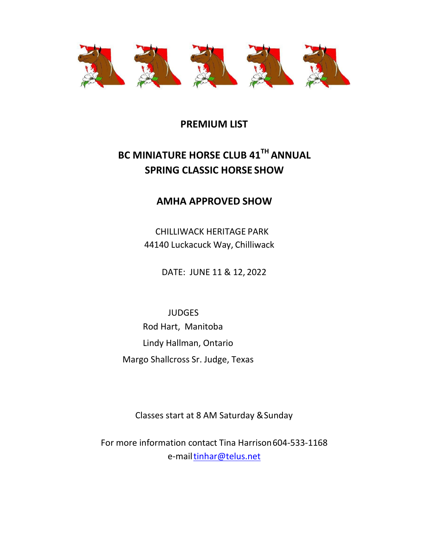

## **PREMIUM LIST**

# **BC MINIATURE HORSE CLUB 41TH ANNUAL SPRING CLASSIC HORSE SHOW**

## **AMHA APPROVED SHOW**

CHILLIWACK HERITAGE PARK 44140 Luckacuck Way, Chilliwack

DATE: JUNE 11 & 12, 2022

 JUDGES Rod Hart, Manitoba Lindy Hallman, Ontario Margo Shallcross Sr. Judge, Texas

Classes start at 8 AM Saturday &Sunday

For more information contact Tina Harrison604-533-1168 e-mai[ltinhar@telus.net](mailto:tinhar@telus.net)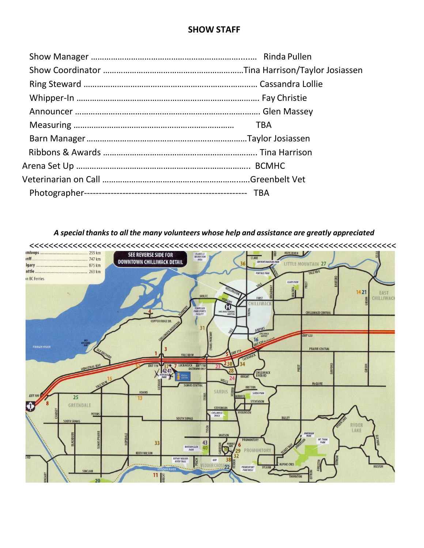### **SHOW STAFF**

|  | <b>TBA</b> |
|--|------------|
|  |            |
|  |            |
|  |            |
|  |            |
|  |            |
|  |            |

*A special thanksto all the many volunteers whose help and assistance are greatly appreciated*

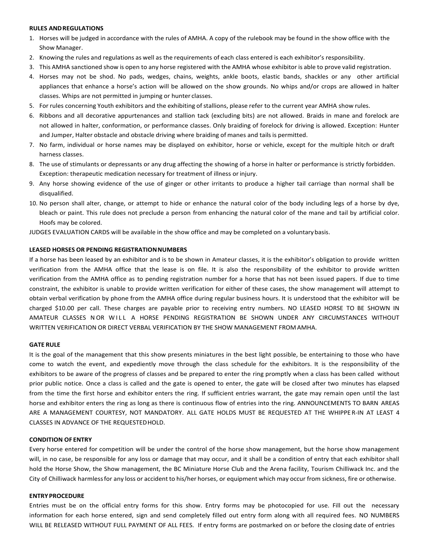#### **RULES ANDREGULATIONS**

- 1. Horses will be judged in accordance with the rules of AMHA. A copy of the rulebook may be found in the show office with the Show Manager.
- 2. Knowing the rules and regulations as well as the requirements of each class entered is each exhibitor's responsibility.
- 3. This AMHA sanctioned show is open to any horse registered with the AMHA whose exhibitor is able to prove valid registration.
- 4. Horses may not be shod. No pads, wedges, chains, weights, ankle boots, elastic bands, shackles or any other artificial appliances that enhance a horse's action will be allowed on the show grounds. No whips and/or crops are allowed in halter classes. Whips are not permitted in jumping or hunter classes.
- 5. For rules concerning Youth exhibitors and the exhibiting of stallions, please refer to the current year AMHA show rules.
- 6. Ribbons and all decorative appurtenances and stallion tack (excluding bits) are not allowed. Braids in mane and forelock are not allowed in halter, conformation, or performance classes. Only braiding of forelock for driving is allowed. Exception: Hunter and Jumper, Halter obstacle and obstacle driving where braiding of manes and tails is permitted.
- 7. No farm, individual or horse names may be displayed on exhibitor, horse or vehicle, except for the multiple hitch or draft harness classes.
- 8. The use of stimulants or depressants or any drug affecting the showing of a horse in halter or performance is strictly forbidden. Exception: therapeutic medication necessary for treatment of illness orinjury.
- 9. Any horse showing evidence of the use of ginger or other irritants to produce a higher tail carriage than normal shall be disqualified.
- 10. No person shall alter, change, or attempt to hide or enhance the natural color of the body including legs of a horse by dye, bleach or paint. This rule does not preclude a person from enhancing the natural color of the mane and tail by artificial color. Hoofs may be colored.

JUDGES EVALUATION CARDS will be available in the show office and may be completed on a voluntarybasis.

#### **LEASED HORSES OR PENDING REGISTRATIONNUMBERS**

If a horse has been leased by an exhibitor and is to be shown in Amateur classes, it is the exhibitor's obligation to provide written verification from the AMHA office that the lease is on file. It is also the responsibility of the exhibitor to provide written verification from the AMHA office as to pending registration number for a horse that has not been issued papers. If due to time constraint, the exhibitor is unable to provide written verification for either of these cases, the show management will attempt to obtain verbal verification by phone from the AMHA office during regular business hours. It is understood that the exhibitor will be charged \$10.00 per call. These charges are payable prior to receiving entry numbers. NO LEASED HORSE TO BE SHOWN IN AMATEUR CLASSES NOR WILL A HORSE PENDING REGISTRATION BE SHOWN UNDER ANY CIRCUMSTANCES WITHOUT WRITTEN VERIFICATION OR DIRECT VERBAL VERIFICATION BY THE SHOW MANAGEMENT FROMAMHA.

#### **GATE RULE**

It is the goal of the management that this show presents miniatures in the best light possible, be entertaining to those who have come to watch the event, and expediently move through the class schedule for the exhibitors. It is the responsibility of the exhibitors to be aware of the progress of classes and be prepared to enter the ring promptly when a class has been called without prior public notice. Once a class is called and the gate is opened to enter, the gate will be closed after two minutes has elapsed from the time the first horse and exhibitor enters the ring. If sufficient entries warrant, the gate may remain open until the last horse and exhibitor enters the ring as long as there is continuous flow of entries into the ring. ANNOUNCEMENTS TO BARN AREAS ARE A MANAGEMENT COURTESY, NOT MANDATORY. ALL GATE HOLDS MUST BE REQUESTED AT THE WHIPPE R-IN AT LEAST 4 CLASSES IN ADVANCE OF THE REQUESTEDHOLD.

#### **CONDITION OF ENTRY**

Every horse entered for competition will be under the control of the horse show management, but the horse show management will, in no case, be responsible for any loss or damage that may occur, and it shall be a condition of entry that each exhibitor shall hold the Horse Show, the Show management, the BC Miniature Horse Club and the Arena facility, Tourism Chilliwack Inc. and the City of Chilliwack harmlessfor any loss or accident to his/her horses, or equipment which may occur from sickness, fire or otherwise.

#### **ENTRY PROCEDURE**

Entries must be on the official entry forms for this show. Entry forms may be photocopied for use. Fill out the necessary information for each horse entered, sign and send completely filled out entry form along with all required fees. NO NUMBERS WILL BE RELEASED WITHOUT FULL PAYMENT OF ALL FEES. If entry forms are postmarked on or before the closing date of entries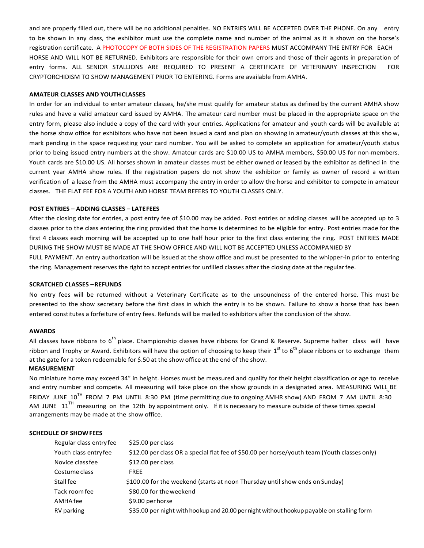and are properly filled out, there will be no additional penalties. NO ENTRIES WILL BE ACCEPTED OVER THE PHONE. On any entry to be shown in any class, the exhibitor must use the complete name and number of the animal as it is shown on the horse's registration certificate. A PHOTOCOPY OF BOTH SIDES OF THE REGISTRATION PAPERS MUST ACCOMPANY THE ENTRY FOR EACH HORSE AND WILL NOT BE RETURNED. Exhibitors are responsible for their own errors and those of their agents in preparation of entry forms. ALL SENIOR STALLIONS ARE REQUIRED TO PRESENT A CERTIFICATE OF VETERINARY INSPECTION FOR CRYPTORCHIDISM TO SHOW MANAGEMENT PRIOR TO ENTERING. Forms are available from AMHA.

#### **AMATEUR CLASSES AND YOUTHCLASSES**

In order for an individual to enter amateur classes, he/she must qualify for amateur status as defined by the current AMHA show rules and have a valid amateur card issued by AMHA. The amateur card number must be placed in the appropriate space on the entry form, please also include a copy of the card with your entries. Applications for amateur and youth cards will be available at the horse show office for exhibitors who have not been issued a card and plan on showing in amateur/youth classes at this show, mark pending in the space requesting your card number. You will be asked to complete an application for amateur/youth status prior to being issued entry numbers at the show. Amateur cards are \$10.00 US to AMHA members, \$50.00 US for non-members. Youth cards are \$10.00 US. All horses shown in amateur classes must be either owned or leased by the exhibitor as defined in the current year AMHA show rules. If the registration papers do not show the exhibitor or family as owner of record a written verification of a lease from the AMHA must accompany the entry in order to allow the horse and exhibitor to compete in amateur classes. THE FLAT FEE FOR A YOUTH AND HORSE TEAM REFERS TO YOUTH CLASSES ONLY.

#### **POST ENTRIES – ADDING CLASSES – LATEFEES**

After the closing date for entries, a post entry fee of \$10.00 may be added. Post entries or adding classes will be accepted up to 3 classes prior to the class entering the ring provided that the horse is determined to be eligible for entry. Post entries made for the first 4 classes each morning will be accepted up to one half hour prior to the first class entering the ring. POST ENTRIES MADE DURING THE SHOW MUST BE MADE AT THE SHOW OFFICE AND WILL NOT BE ACCEPTED UNLESS ACCOMPANIED BY

FULL PAYMENT. An entry authorization will be issued at the show office and must be presented to the whipper-in prior to entering the ring. Management reserves the right to accept entries for unfilled classes after the closing date at the regular fee.

#### **SCRATCHED CLASSES –REFUNDS**

No entry fees will be returned without a Veterinary Certificate as to the unsoundness of the entered horse. This must be presented to the show secretary before the first class in which the entry is to be shown. Failure to show a horse that has been entered constitutes a forfeiture of entry fees. Refunds will be mailed to exhibitors after the conclusion of the show.

#### **AWARDS**

All classes have ribbons to  $6^{th}$  place. Championship classes have ribbons for Grand & Reserve. Supreme halter class will have ribbon and Trophy or Award. Exhibitors will have the option of choosing to keep their  $1^{\text{st}}$  to  $6^{\text{th}}$  place ribbons or to exchange them at the gate for a token redeemable for \$.50 at the show office at the end of the show.

#### **MEASUREMENT**

No miniature horse may exceed 34" in height. Horses must be measured and qualify for their height classification or age to receive and entry number and compete. All measuring will take place on the show grounds in a designated area. MEASURING WILL BE FRIDAY JUNE  $10^{TH}$  FROM 7 PM UNTIL 8:30 PM (time permitting due to ongoing AMHR show) AND FROM 7 AM UNTIL 8:30 AM JUNE  $11<sup>TH</sup>$  measuring on the 12th by appointment only. If it is necessary to measure outside of these times special arrangements may be made at the show office.

#### **SCHEDULE OF SHOWFEES**

| Regular class entryfee | \$25.00 per class                                                                            |
|------------------------|----------------------------------------------------------------------------------------------|
| Youth class entry fee  | \$12.00 per class OR a special flat fee of \$50.00 per horse/youth team (Youth classes only) |
| Novice class fee       | \$12.00 per class                                                                            |
| Costume class          | <b>FREE</b>                                                                                  |
| Stall fee              | \$100.00 for the weekend (starts at noon Thursday until show ends on Sunday)                 |
| Tack room fee          | \$80.00 for the weekend                                                                      |
| AMHA fee               | \$9.00 per horse                                                                             |
| <b>RV</b> parking      | \$35.00 per night with hookup and 20.00 per night without hookup payable on stalling form    |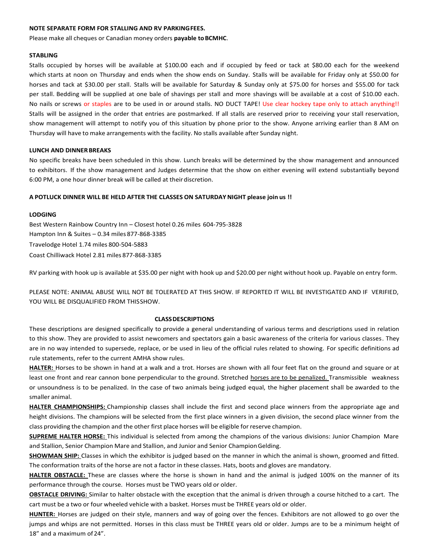#### **NOTE SEPARATE FORM FOR STALLING AND RV PARKINGFEES.**

Please make all cheques or Canadian money orders payable to BCMHC.

#### **STABLING**

Stalls occupied by horses will be available at \$100.00 each and if occupied by feed or tack at \$80.00 each for the weekend which starts at noon on Thursday and ends when the show ends on Sunday. Stalls will be available for Friday only at \$50.00 for horses and tack at \$30.00 per stall. Stalls will be available for Saturday & Sunday only at \$75.00 for horses and \$55.00 for tack per stall. Bedding will be supplied at one bale of shavings per stall and more shavings will be available at a cost of \$10.00 each. No nails or screws or staples are to be used in or around stalls. NO DUCT TAPE! Use clear hockey tape only to attach anything!! Stalls will be assigned in the order that entries are postmarked. If all stalls are reserved prior to receiving your stall reservation, show management will attempt to notify you of this situation by phone prior to the show. Anyone arriving earlier than 8 AM on Thursday will have to make arrangements with the facility. No stalls available after Sunday night.

#### **LUNCH AND DINNERBREAKS**

No specific breaks have been scheduled in this show. Lunch breaks will be determined by the show management and announced to exhibitors. If the show management and Judges determine that the show on either evening will extend substantially beyond 6:00 PM, a one hour dinner break will be called at theirdiscretion.

#### **A POTLUCK DINNER WILL BE HELD AFTER THE CLASSES ON SATURDAYNIGHT please join us !!**

#### **LODGING**

Best Western Rainbow Country Inn – Closest hotel 0.26 miles 604-795-3828 Hampton Inn & Suites – 0.34 miles 877-868-3385 Travelodge Hotel 1.74 miles 800-504-5883 Coast Chilliwack Hotel 2.81 miles 877-868-3385

RV parking with hook up is available at \$35.00 per night with hook up and \$20.00 per night without hook up. Payable on entry form.

PLEASE NOTE: ANIMAL ABUSE WILL NOT BE TOLERATED AT THIS SHOW. IF REPORTED IT WILL BE INVESTIGATED AND IF VERIFIED, YOU WILL BE DISQUALIFIED FROM THISSHOW.

#### **CLASSDESCRIPTIONS**

These descriptions are designed specifically to provide a general understanding of various terms and descriptions used in relation to this show. They are provided to assist newcomers and spectators gain a basic awareness of the criteria for various classes. They are in no way intended to supersede, replace, or be used in lieu of the official rules related to showing. For specific definitions ad rule statements, refer to the current AMHA show rules.

**HALTER:** Horses to be shown in hand at a walk and a trot. Horses are shown with all four feet flat on the ground and square or at least one front and rear cannon bone perpendicular to the ground. Stretched horses are to be penalized. Transmissible weakness or unsoundness is to be penalized. In the case of two animals being judged equal, the higher placement shall be awarded to the smaller animal.

**HALTER CHAMPIONSHIPS:** Championship classes shall include the first and second place winners from the appropriate age and height divisions. The champions will be selected from the first place winners in a given division, the second place winner from the class providing the champion and the other first place horses will be eligible for reserve champion.

**SUPREME HALTER HORSE:** This individual is selected from among the champions of the various divisions: Junior Champion Mare and Stallion, Senior Champion Mare and Stallion, and Junior and Senior ChampionGelding.

**SHOWMAN SHIP:** Classes in which the exhibitor is judged based on the manner in which the animal is shown, groomed and fitted. The conformation traits of the horse are not a factor in these classes. Hats, boots and gloves are mandatory.

**HALTER OBSTACLE:** These are classes where the horse is shown in hand and the animal is judged 100% on the manner of its performance through the course. Horses must be TWO years old or older.

**OBSTACLE DRIVING:** Similar to halter obstacle with the exception that the animal is driven through a course hitched to a cart. The cart must be a two or four wheeled vehicle with a basket. Horses must be THREE years old or older.

**HUNTER:** Horses are judged on their style, manners and way of going over the fences. Exhibitors are not allowed to go over the jumps and whips are not permitted. Horses in this class must be THREE years old or older. Jumps are to be a minimum height of 18" and a maximum of24".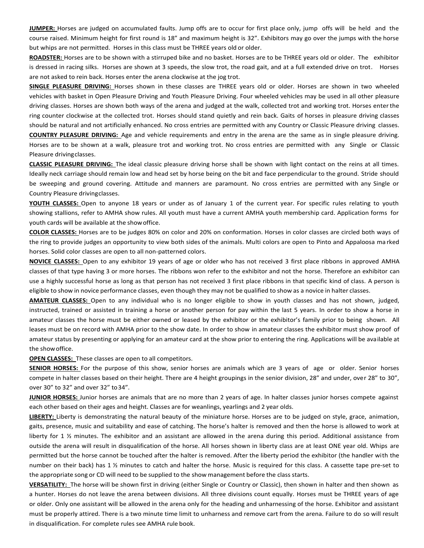**JUMPER:** Horses are judged on accumulated faults. Jump offs are to occur for first place only, jump offs will be held and the course raised. Minimum height for first round is 18" and maximum height is 32". Exhibitors may go over the jumps with the horse but whips are not permitted. Horses in this class must be THREE years old or older.

**ROADSTER:** Horses are to be shown with a stirruped bike and no basket. Horses are to be THREE years old or older. The exhibitor is dressed in racing silks. Horses are shown at 3 speeds, the slow trot, the road gait, and at a full extended drive on trot. Horses are not asked to rein back. Horses enter the arena clockwise at the jog trot.

**SINGLE PLEASURE DRIVING:** Horses shown in these classes are THREE years old or older. Horses are shown in two wheeled vehicles with basket in Open Pleasure Driving and Youth Pleasure Driving. Four wheeled vehicles may be used in all other pleasure driving classes. Horses are shown both ways of the arena and judged at the walk, collected trot and working trot. Horses enterthe ring counter clockwise at the collected trot. Horses should stand quietly and rein back. Gaits of horses in pleasure driving classes should be natural and not artificially enhanced. No cross entries are permitted with any Country or Classic Pleasure driving classes. **COUNTRY PLEASURE DRIVING:** Age and vehicle requirements and entry in the arena are the same as in single pleasure driving. Horses are to be shown at a walk, pleasure trot and working trot. No cross entries are permitted with any Single or Classic Pleasure drivingclasses.

**CLASSIC PLEASURE DRIVING:** The ideal classic pleasure driving horse shall be shown with light contact on the reins at all times. Ideally neck carriage should remain low and head set by horse being on the bit and face perpendicular to the ground. Stride should be sweeping and ground covering. Attitude and manners are paramount. No cross entries are permitted with any Single or Country Pleasure drivingclasses.

**YOUTH CLASSES:** Open to anyone 18 years or under as of January 1 of the current year. For specific rules relating to youth showing stallions, refer to AMHA show rules. All youth must have a current AMHA youth membership card. Application forms for youth cards will be available at the showoffice.

**COLOR CLASSES:** Horses are to be judges 80% on color and 20% on conformation. Horses in color classes are circled both ways of the ring to provide judges an opportunity to view both sides of the animals. Multi colors are open to Pinto and Appaloosa ma rked horses. Solid color classes are open to all non-patterned colors.

**NOVICE CLASSES:** Open to any exhibitor 19 years of age or older who has not received 3 first place ribbons in approved AMHA classes of that type having 3 or more horses. The ribbons won refer to the exhibitor and not the horse. Therefore an exhibitor can use a highly successful horse as long as that person has not received 3 first place ribbons in that specific kind of class. A person is eligible to show in novice performance classes, even though they may not be qualified to show as a novice in halter classes.

**AMATEUR CLASSES:** Open to any individual who is no longer eligible to show in youth classes and has not shown, judged, instructed, trained or assisted in training a horse or another person for pay within the last 5 years. In order to show a horse in amateur classes the horse must be either owned or leased by the exhibitor or the exhibitor's family prior to being shown. All leases must be on record with AMHA prior to the show date. In order to show in amateur classes the exhibitor must show proof of amateur status by presenting or applying for an amateur card at the show prior to entering the ring. Applications will be available at the showoffice.

**OPEN CLASSES:** These classes are open to all competitors.

**SENIOR HORSES:** For the purpose of this show, senior horses are animals which are 3 years of age or older. Senior horses compete in halter classes based on their height. There are 4 height groupings in the senior division, 28" and under, over 28" to 30", over 30" to 32" and over 32" to34".

**JUNIOR HORSES:** Junior horses are animals that are no more than 2 years of age. In halter classes junior horses compete against each other based on their ages and height. Classes are for weanlings, yearlings and 2 year olds.

**LIBERTY:** Liberty is demonstrating the natural beauty of the miniature horse. Horses are to be judged on style, grace, animation, gaits, presence, music and suitability and ease of catching. The horse's halter is removed and then the horse is allowed to work at liberty for 1 % minutes. The exhibitor and an assistant are allowed in the arena during this period. Additional assistance from outside the arena will result in disqualification of the horse. All horses shown in liberty class are at least ONE year old. Whips are permitted but the horse cannot be touched after the halter is removed. After the liberty period the exhibitor (the handler with the number on their back) has 1 ½ minutes to catch and halter the horse. Music is required for this class. A cassette tape pre-set to the appropriate song or CD will need to be supplied to the show management before the class starts.

**VERSATILITY:** The horse will be shown first in driving (either Single or Country or Classic), then shown in halter and then shown as a hunter. Horses do not leave the arena between divisions. All three divisions count equally. Horses must be THREE years of age or older. Only one assistant will be allowed in the arena only for the heading and unharnessing of the horse. Exhibitor and assistant must be properly attired. There is a two minute time limit to unharness and remove cart from the arena. Failure to do so will result in disqualification. For complete rules see AMHA rule book.